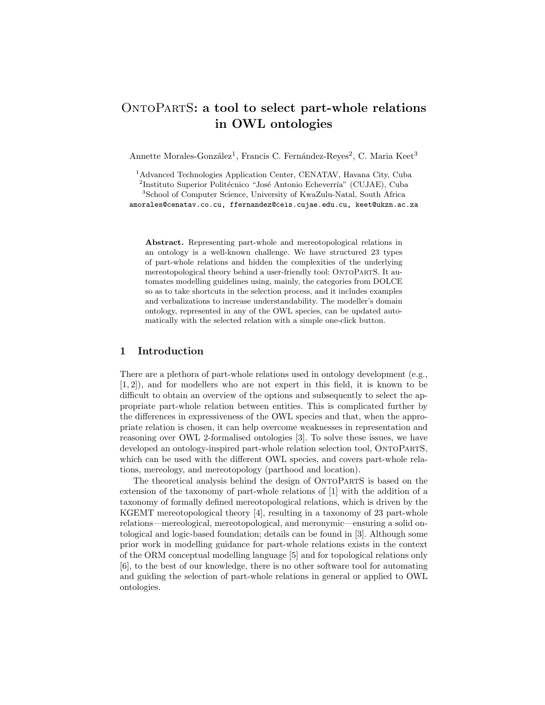# ONTOPARTS: a tool to select part-whole relations in OWL ontologies

Annette Morales-González<sup>1</sup>, Francis C. Fernández-Reyes<sup>2</sup>, C. Maria Keet<sup>3</sup>

<sup>1</sup>Advanced Technologies Application Center, CENATAV, Havana City, Cuba

<sup>2</sup>Instituto Superior Politécnico "José Antonio Echeverría" (CUJAE), Cuba

<sup>3</sup>School of Computer Science, University of KwaZulu-Natal, South Africa

amorales@cenatav.co.cu, ffernandez@ceis.cujae.edu.cu, keet@ukzn.ac.za

Abstract. Representing part-whole and mereotopological relations in an ontology is a well-known challenge. We have structured 23 types of part-whole relations and hidden the complexities of the underlying mereotopological theory behind a user-friendly tool: OntoPartS. It automates modelling guidelines using, mainly, the categories from DOLCE so as to take shortcuts in the selection process, and it includes examples and verbalizations to increase understandability. The modeller's domain ontology, represented in any of the OWL species, can be updated automatically with the selected relation with a simple one-click button.

#### 1 Introduction

There are a plethora of part-whole relations used in ontology development (e.g.,  $[1, 2]$ , and for modellers who are not expert in this field, it is known to be difficult to obtain an overview of the options and subsequently to select the appropriate part-whole relation between entities. This is complicated further by the differences in expressiveness of the OWL species and that, when the appropriate relation is chosen, it can help overcome weaknesses in representation and reasoning over OWL 2-formalised ontologies [3]. To solve these issues, we have developed an ontology-inspired part-whole relation selection tool, OntoPartS, which can be used with the different OWL species, and covers part-whole relations, mereology, and mereotopology (parthood and location).

The theoretical analysis behind the design of OntoPartS is based on the extension of the taxonomy of part-whole relations of [1] with the addition of a taxonomy of formally defined mereotopological relations, which is driven by the KGEMT mereotopological theory [4], resulting in a taxonomy of 23 part-whole relations—mereological, mereotopological, and meronymic—ensuring a solid ontological and logic-based foundation; details can be found in [3]. Although some prior work in modelling guidance for part-whole relations exists in the context of the ORM conceptual modelling language [5] and for topological relations only [6], to the best of our knowledge, there is no other software tool for automating and guiding the selection of part-whole relations in general or applied to OWL ontologies.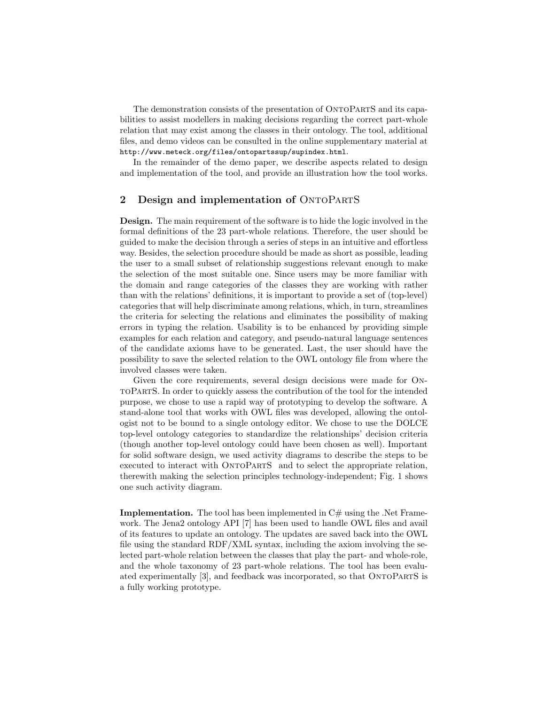The demonstration consists of the presentation of OntoPartS and its capabilities to assist modellers in making decisions regarding the correct part-whole relation that may exist among the classes in their ontology. The tool, additional files, and demo videos can be consulted in the online supplementary material at http://www.meteck.org/files/ontopartssup/supindex.html.

In the remainder of the demo paper, we describe aspects related to design and implementation of the tool, and provide an illustration how the tool works.

# 2 Design and implementation of ONTOPARTS

Design. The main requirement of the software is to hide the logic involved in the formal definitions of the 23 part-whole relations. Therefore, the user should be guided to make the decision through a series of steps in an intuitive and effortless way. Besides, the selection procedure should be made as short as possible, leading the user to a small subset of relationship suggestions relevant enough to make the selection of the most suitable one. Since users may be more familiar with the domain and range categories of the classes they are working with rather than with the relations' definitions, it is important to provide a set of (top-level) categories that will help discriminate among relations, which, in turn, streamlines the criteria for selecting the relations and eliminates the possibility of making errors in typing the relation. Usability is to be enhanced by providing simple examples for each relation and category, and pseudo-natural language sentences of the candidate axioms have to be generated. Last, the user should have the possibility to save the selected relation to the OWL ontology file from where the involved classes were taken.

Given the core requirements, several design decisions were made for OntoPartS. In order to quickly assess the contribution of the tool for the intended purpose, we chose to use a rapid way of prototyping to develop the software. A stand-alone tool that works with OWL files was developed, allowing the ontologist not to be bound to a single ontology editor. We chose to use the DOLCE top-level ontology categories to standardize the relationships' decision criteria (though another top-level ontology could have been chosen as well). Important for solid software design, we used activity diagrams to describe the steps to be executed to interact with ONTOPARTS and to select the appropriate relation, therewith making the selection principles technology-independent; Fig. 1 shows one such activity diagram.

**Implementation.** The tool has been implemented in  $C#$  using the .Net Framework. The Jena2 ontology API [7] has been used to handle OWL files and avail of its features to update an ontology. The updates are saved back into the OWL file using the standard RDF/XML syntax, including the axiom involving the selected part-whole relation between the classes that play the part- and whole-role, and the whole taxonomy of 23 part-whole relations. The tool has been evaluated experimentally [3], and feedback was incorporated, so that ONTOPARTS is a fully working prototype.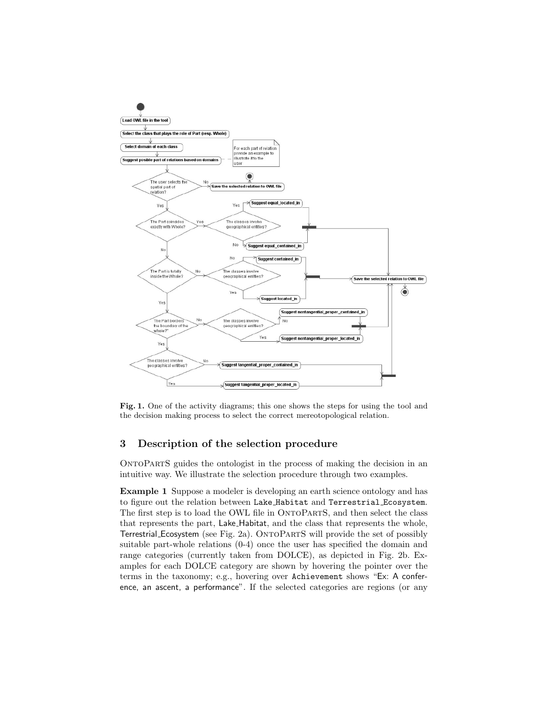

Fig. 1. One of the activity diagrams; this one shows the steps for using the tool and the decision making process to select the correct mereotopological relation.

# 3 Description of the selection procedure

OntoPartS guides the ontologist in the process of making the decision in an intuitive way. We illustrate the selection procedure through two examples.

Example 1 Suppose a modeler is developing an earth science ontology and has to figure out the relation between Lake Habitat and Terrestrial Ecosystem. The first step is to load the OWL file in OntoPartS, and then select the class that represents the part, Lake Habitat, and the class that represents the whole, Terrestrial Ecosystem (see Fig. 2a). OntoPartS will provide the set of possibly suitable part-whole relations (0-4) once the user has specified the domain and range categories (currently taken from DOLCE), as depicted in Fig. 2b. Examples for each DOLCE category are shown by hovering the pointer over the terms in the taxonomy; e.g., hovering over Achievement shows "Ex: A conference, an ascent, a performance". If the selected categories are regions (or any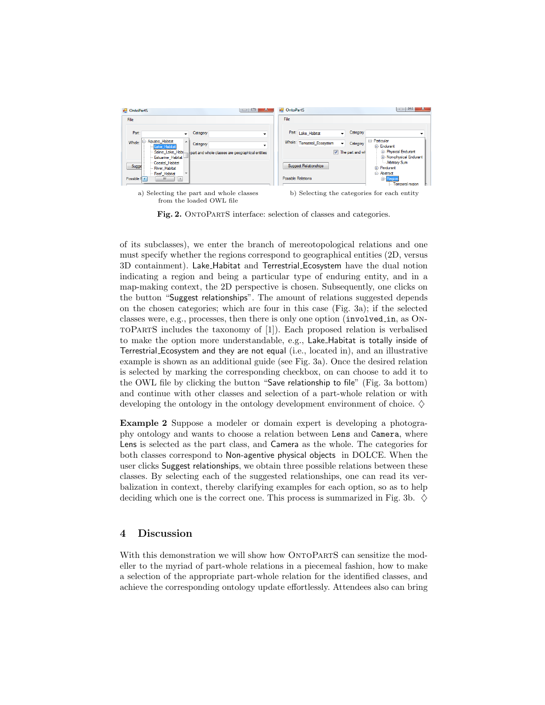

a) Selecting the part and whole classes b) Selecting the categories for each entity from the loaded OWL file

Fig. 2. ONTOPARTS interface: selection of classes and categories.

of its subclasses), we enter the branch of mereotopological relations and one must specify whether the regions correspond to geographical entities (2D, versus 3D containment). Lake Habitat and Terrestrial Ecosystem have the dual notion indicating a region and being a particular type of enduring entity, and in a map-making context, the 2D perspective is chosen. Subsequently, one clicks on the button "Suggest relationships". The amount of relations suggested depends on the chosen categories; which are four in this case (Fig. 3a); if the selected classes were, e.g., processes, then there is only one option (involved in, as OntoPartS includes the taxonomy of [1]). Each proposed relation is verbalised to make the option more understandable, e.g., Lake Habitat is totally inside of Terrestrial Ecosystem and they are not equal (i.e., located in), and an illustrative example is shown as an additional guide (see Fig. 3a). Once the desired relation is selected by marking the corresponding checkbox, on can choose to add it to the OWL file by clicking the button "Save relationship to file" (Fig. 3a bottom) and continue with other classes and selection of a part-whole relation or with developing the ontology in the ontology development environment of choice.  $\diamondsuit$ 

Example 2 Suppose a modeler or domain expert is developing a photography ontology and wants to choose a relation between Lens and Camera, where Lens is selected as the part class, and Camera as the whole. The categories for both classes correspond to Non-agentive physical objects in DOLCE. When the user clicks Suggest relationships, we obtain three possible relations between these classes. By selecting each of the suggested relationships, one can read its verbalization in context, thereby clarifying examples for each option, so as to help deciding which one is the correct one. This process is summarized in Fig. 3b.  $\diamond$ 

#### 4 Discussion

With this demonstration we will show how ONTOPARTS can sensitize the modeller to the myriad of part-whole relations in a piecemeal fashion, how to make a selection of the appropriate part-whole relation for the identified classes, and achieve the corresponding ontology update effortlessly. Attendees also can bring